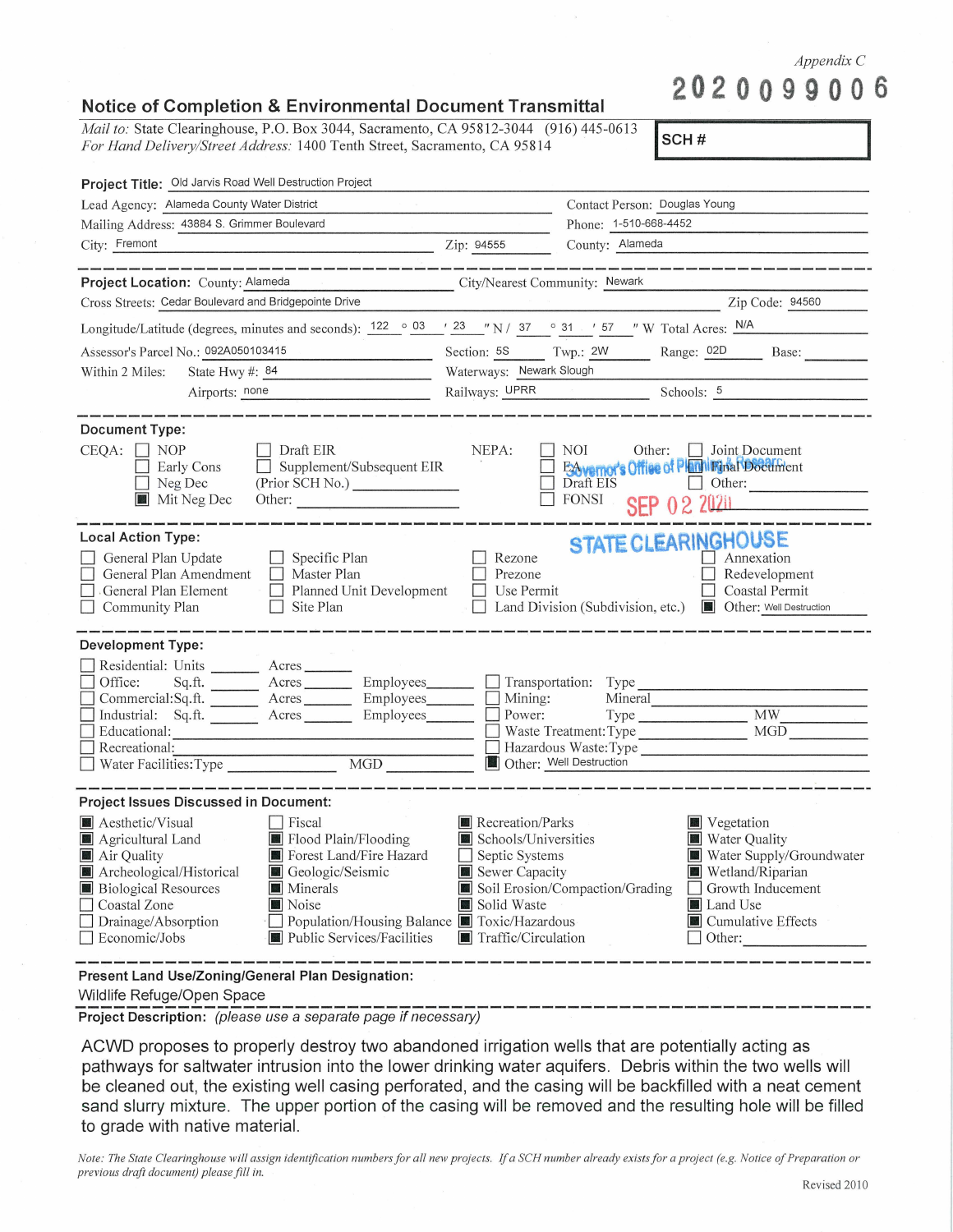*Appendix* C

**2020099 00 6** 

## **Notice of Completion** & **Environmental Document Transmittal**

*Mail to: State Clearinghouse, P.O. Box 3044, Sacramento, CA 95812-3044 (916) 445-0613 For Hand Delivery/Street Address:* 1400 Tenth Street, Sacramento, CA 95814

**jscH** # I

| Project Title: Old Jarvis Road Well Destruction Project                                                                                                                                                                                                                                                                                                                                                          |                                                                                                                           |                                                                                                                                                                                                                        |
|------------------------------------------------------------------------------------------------------------------------------------------------------------------------------------------------------------------------------------------------------------------------------------------------------------------------------------------------------------------------------------------------------------------|---------------------------------------------------------------------------------------------------------------------------|------------------------------------------------------------------------------------------------------------------------------------------------------------------------------------------------------------------------|
| Lead Agency: Alameda County Water District                                                                                                                                                                                                                                                                                                                                                                       |                                                                                                                           | Contact Person: Douglas Young                                                                                                                                                                                          |
| Mailing Address: 43884 S. Grimmer Boulevard                                                                                                                                                                                                                                                                                                                                                                      |                                                                                                                           | Phone: 1-510-668-4452                                                                                                                                                                                                  |
| City: Fremont<br>$\chi$ ip: 94555                                                                                                                                                                                                                                                                                                                                                                                |                                                                                                                           | County: Alameda                                                                                                                                                                                                        |
| or mused bened bened barent mennt bened bened hannel mennt bened bened muset muset hannel bened juanel bened be<br><br>Project Location: County: Alameda<br>City/Nearest Community: Newark                                                                                                                                                                                                                       |                                                                                                                           | .<br>Ny faritr'i Indric Sonald Jeanne Sound Sound Solari Senat Louise Toward Toward Sound Sound Sound Toward Toward                                                                                                    |
| Cross Streets: Cedar Boulevard and Bridgepointe Drive                                                                                                                                                                                                                                                                                                                                                            |                                                                                                                           | Zip Code: 94560                                                                                                                                                                                                        |
| Longitude/Latitude (degrees, minutes and seconds): $122 \degree 03 \degree 723 \degree 71 \degree 31 \degree 731 \degree 757 \degree 7$ W Total Acres: N/A                                                                                                                                                                                                                                                       |                                                                                                                           |                                                                                                                                                                                                                        |
| Assessor's Parcel No.: 092A050103415                                                                                                                                                                                                                                                                                                                                                                             |                                                                                                                           | Section: 5S Twp.: 2W Range: 02D Base:                                                                                                                                                                                  |
| State Hwy #: $84$<br>Within 2 Miles:                                                                                                                                                                                                                                                                                                                                                                             | Waterways: Newark Slough                                                                                                  |                                                                                                                                                                                                                        |
| Airports: <u>none</u>                                                                                                                                                                                                                                                                                                                                                                                            |                                                                                                                           | Railways: UPRR Schools: 5                                                                                                                                                                                              |
| <b>Document Type:</b><br>$CEQA: \Box NP$<br>$\Box$ Draft EIR<br>$\Box$ Supplement/Subsequent EIR<br>Early Cons<br>$\Box$ Neg Dec<br>(Prior SCH No.)<br>Mit Neg Dec<br>Other:<br><b>Local Action Type:</b>                                                                                                                                                                                                        | NEPA:                                                                                                                     | <b>NOI</b><br>Other: [Joint Document]<br>ESAvernor's Office of Philippinal Document<br>Other:<br>FONSI<br>SEP 02 2020                                                                                                  |
| General Plan Update<br>$\Box$ Specific Plan<br>General Plan Amendment   Master Plan<br>General Plan Element<br>Community Plan<br>ISite Plan                                                                                                                                                                                                                                                                      | Rezone<br>Prezone<br>Use Permit<br>$\mathbb{R}^n$<br>П                                                                    | STATE CLEARINGHOUSE<br>Annexation<br>Redevelopment<br>Coastal Permit<br>Land Division (Subdivision, etc.) <b>In Other:</b> Well Destruction                                                                            |
| <b>Development Type:</b>                                                                                                                                                                                                                                                                                                                                                                                         |                                                                                                                           |                                                                                                                                                                                                                        |
| Residential: Units _________ Acres _______<br>Office:<br>Commercial:Sq.ft. Acres Employees Mining:<br>Industrial: Sq.ft. Acres Employees Power:<br>Educational:<br>Recreational:                                                                                                                                                                                                                                 |                                                                                                                           | Sq.ft. ________ Acres _________ Employees________ ___ Transportation: Type ________________________<br>Mineral<br>MW<br>Type<br>MGD<br>$\Box$ Waste Treatment: Type<br>Hazardous Waste:Type<br>Other: Well Destruction |
| Project Issues Discussed in Document:                                                                                                                                                                                                                                                                                                                                                                            |                                                                                                                           |                                                                                                                                                                                                                        |
| Aesthetic/Visual<br><b>Fiscal</b><br>$\alpha$ and $\beta$<br>Flood Plain/Flooding<br>Agricultural Land<br>Forest Land/Fire Hazard<br>$\blacksquare$ Air Quality<br>Archeological/Historical<br>Geologic/Seismic<br><b>Biological Resources</b><br>Minerals<br>Coastal Zone<br>Noise<br>$\Box$ Drainage/Absorption<br>Population/Housing Balance ■ Toxic/Hazardous<br>Economic/Jobs<br>Public Services/Facilities | <b>Recreation/Parks</b><br>Schools/Universities<br>Septic Systems<br>Sewer Capacity<br>Solid Waste<br>Traffic/Circulation | <b>Vegetation</b><br>Water Quality<br>Water Supply/Groundwater<br>Wetland/Riparian<br>Soil Erosion/Compaction/Grading<br>Growth Inducement<br>Land Use<br>$\blacksquare$ Cumulative Effects<br>Other:                  |
| Present Land Use/Zoning/General Plan Designation:                                                                                                                                                                                                                                                                                                                                                                |                                                                                                                           |                                                                                                                                                                                                                        |

Wildlife Refuge/Open Space

**Project Description:** (please use a separate page if necessary)

ACWD proposes to properly destroy two abandoned irrigation wells that are potentially acting as pathways for saltwater intrusion into the lower drinking water aquifers. Debris within the two wells will be cleaned out, the existing well casing perforated, and the casing will be backfilled with a neat cement sand slurry mixture. The upper portion of the casing will be removed and the resulting hole will be filled to grade with native material.

*Note: The State Clearinghouse will assign identification numbers for all new projects. If a SCH number already exists for a project (e.g. Notice of Preparation or previous draft document) please fill in.*